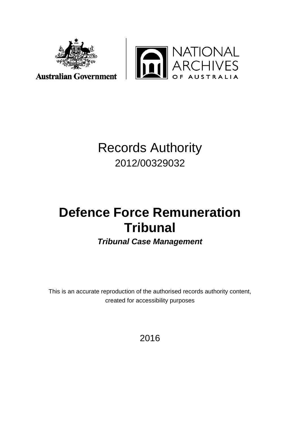



## Records Authority 2012/00329032

# **Defence Force Remuneration Tribunal**

*Tribunal Case Management*

This is an accurate reproduction of the authorised records authority content, created for accessibility purposes

2016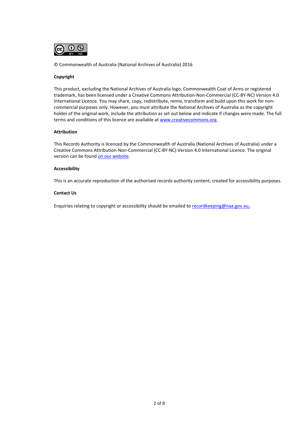

© Commonwealth of Australia (National Archives of Australia) 2016

#### **Copyright**

This product, excluding the National Archives of Australia logo, Commonwealth Coat of Arms or registered trademark, has been licensed under a Creative Commons Attribution-Non-Commercial (CC-BY-NC) Version 4.0 International Licence. You may share, copy, redistribute, remix, transform and build upon this work for noncommercial purposes only. However, you must attribute the National Archives of Australia as the copyright holder of the original work, include the attribution as set out below and indicate if changes were made. The full terms and conditions of this licence are available a[t www.creativecommons.org.](http://www.creativecommons.org/)

#### **Attribution**

This Records Authority is licenced by the Commonwealth of Australia (National Archives of Australia) under a Creative Commons Attribution-Non-Commercial (CC-BY-NC) Version 4.0 International Licence. The original version can be foun[d on our website.](http://www.naa.gov.au/)

#### **Accessibility**

This is an accurate reproduction of the authorised records authority content, created for accessibility purposes.

#### **Contact Us**

Enquiries relating to copyright or accessibility should be emailed to [recordkeeping@naa.gov.au](mailto:recordkeeping@naa.gov.au)**.**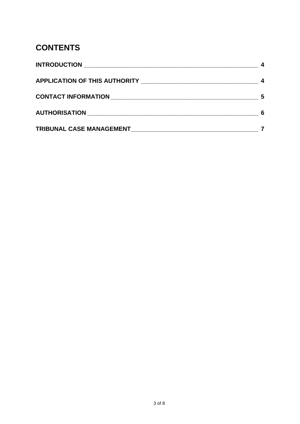## **CONTENTS**

| 6 |
|---|
|   |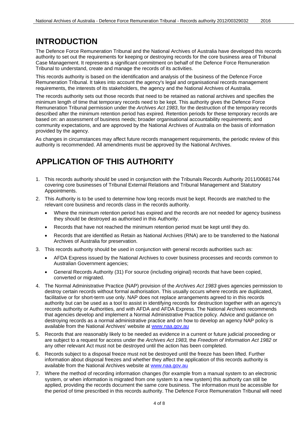### <span id="page-3-0"></span>**INTRODUCTION**

The Defence Force Remuneration Tribunal and the National Archives of Australia have developed this records authority to set out the requirements for keeping or destroying records for the core business area of Tribunal Case Management. It represents a significant commitment on behalf of the Defence Force Remuneration Tribunal to understand, create and manage the records of its activities.

This records authority is based on the identification and analysis of the business of the Defence Force Remuneration Tribunal. It takes into account the agency's legal and organisational records management requirements, the interests of its stakeholders, the agency and the National Archives of Australia.

The records authority sets out those records that need to be retained as national archives and specifies the minimum length of time that temporary records need to be kept. This authority gives the Defence Force Remuneration Tribunal permission under the *Archives Act 1983*, for the destruction of the temporary records described after the minimum retention period has expired. Retention periods for these temporary records are based on: an assessment of business needs; broader organisational accountability requirements; and community expectations, and are approved by the National Archives of Australia on the basis of information provided by the agency.

As changes in circumstances may affect future records management requirements, the periodic review of this authority is recommended. All amendments must be approved by the National Archives.

### <span id="page-3-1"></span>**APPLICATION OF THIS AUTHORITY**

- 1. This records authority should be used in conjunction with the Tribunals Records Authority 2011/00681744 covering core businesses of Tribunal External Relations and Tribunal Management and Statutory Appointments.
- 2. This Authority is to be used to determine how long records must be kept. Records are matched to the relevant core business and records class in the records authority.
	- Where the minimum retention period has expired and the records are not needed for agency business they should be destroyed as authorised in this Authority.
	- Records that have not reached the minimum retention period must be kept until they do.
	- Records that are identified as Retain as National Archives (RNA) are to be transferred to the National Archives of Australia for preservation.
- 3. This records authority should be used in conjunction with general records authorities such as:
	- AFDA Express issued by the National Archives to cover business processes and records common to Australian Government agencies;
	- General Records Authority (31) For source (including original) records that have been copied, converted or migrated.
- 4. The Normal Administrative Practice (NAP) provision of the *Archives Act 1983* gives agencies permission to destroy certain records without formal authorisation. This usually occurs where records are duplicated, facilitative or for short-term use only. NAP does not replace arrangements agreed to in this records authority but can be used as a tool to assist in identifying records for destruction together with an agency's records authority or Authorities, and with AFDA and AFDA Express. The National Archives recommends that agencies develop and implement a Normal Administrative Practice policy. Advice and guidance on destroying records as a normal administrative practice and on how to develop an agency NAP policy is available from the National Archives' website at [www.naa.gov.au](http://www.naa.gov.au/)
- 5. Records that are reasonably likely to be needed as evidence in a current or future judicial proceeding or are subject to a request for access under the *Archives Act 1983,* the *Freedom of Information Act 1982* or any other relevant Act must not be destroyed until the action has been completed.
- 6. Records subject to a disposal freeze must not be destroyed until the freeze has been lifted. Further information about disposal freezes and whether they affect the application of this records authority is available from the National Archives website at [www.naa.gov.au](http://www.naa.gov.au/)
- 7. Where the method of recording information changes (for example from a manual system to an electronic system, or when information is migrated from one system to a new system) this authority can still be applied, providing the records document the same core business. The information must be accessible for the period of time prescribed in this records authority. The Defence Force Remuneration Tribunal will need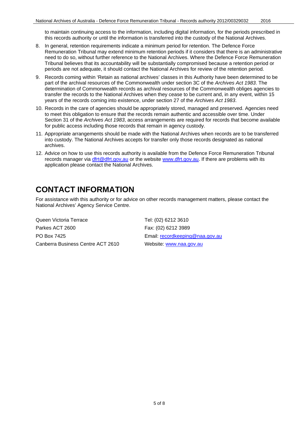to maintain continuing access to the information, including digital information, for the periods prescribed in this records authority or until the information is transferred into the custody of the National Archives.

- 8. In general, retention requirements indicate a minimum period for retention. The Defence Force Remuneration Tribunal may extend minimum retention periods if it considers that there is an administrative need to do so, without further reference to the National Archives. Where the Defence Force Remuneration Tribunal believes that its accountability will be substantially compromised because a retention period or periods are not adequate, it should contact the National Archives for review of the retention period.
- 9. Records coming within 'Retain as national archives' classes in this Authority have been determined to be part of the archival resources of the Commonwealth under section 3C of the *Archives Act 1983*. The determination of Commonwealth records as archival resources of the Commonwealth obliges agencies to transfer the records to the National Archives when they cease to be current and, in any event, within 15 years of the records coming into existence, under section 27 of the *Archives Act 1983*.
- 10. Records in the care of agencies should be appropriately stored, managed and preserved. Agencies need to meet this obligation to ensure that the records remain authentic and accessible over time. Under Section 31 of the *Archives Act 1983*, access arrangements are required for records that become available for public access including those records that remain in agency custody.
- 11. Appropriate arrangements should be made with the National Archives when records are to be transferred into custody. The National Archives accepts for transfer only those records designated as national archives.
- 12. Advice on how to use this records authority is available from the Defence Force Remuneration Tribunal records manager via [dfrt@dfrt.gov,au](mailto:dfrt@dfrt.gov,au) or the website [www.dfrt.gov.au.](http://www.dfrt.gov.au/) If there are problems with its application please contact the National Archives.

#### <span id="page-4-0"></span>**CONTACT INFORMATION**

For assistance with this authority or for advice on other records management matters, please contact the National Archives' Agency Service Centre.

Queen Victoria Terrace Tel: (02) 6212 3610 Parkes ACT 2600 Fax: (02) 6212 3989 PO Box 7425 Email: [recordkeeping@naa.gov.au](mailto:recordkeeping@naa.gov.au) Canberra Business Centre ACT 2610 Website: [www.naa.gov.au](http://www.naa.gov.au/)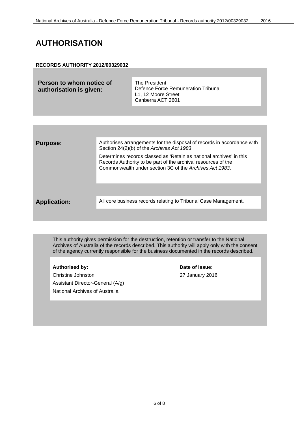### <span id="page-5-0"></span>**AUTHORISATION**

#### **RECORDS AUTHORITY 2012/00329032**

| Person to whom notice of | The President                                                                   |
|--------------------------|---------------------------------------------------------------------------------|
| authorisation is given:  | Defence Force Remuneration Tribunal<br>L1. 12 Moore Street<br>Canberra ACT 2601 |

| <b>Purpose:</b>     | Authorises arrangements for the disposal of records in accordance with<br>Section 24(2)(b) of the Archives Act 1983                                                                             |
|---------------------|-------------------------------------------------------------------------------------------------------------------------------------------------------------------------------------------------|
|                     | Determines records classed as 'Retain as national archives' in this<br>Records Authority to be part of the archival resources of the<br>Commonwealth under section 3C of the Archives Act 1983. |
|                     |                                                                                                                                                                                                 |
| <b>Application:</b> | All core business records relating to Tribunal Case Management.                                                                                                                                 |
|                     |                                                                                                                                                                                                 |

This authority gives permission for the destruction, retention or transfer to the National Archives of Australia of the records described. This authority will apply only with the consent of the agency currently responsible for the business documented in the records described.

Christine Johnston 27 January 2016 Assistant Director-General (A/g) National Archives of Australia

Authorised by: **Date of issue:**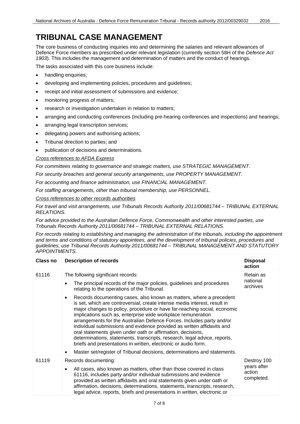### <span id="page-6-0"></span>**TRIBUNAL CASE MANAGEMENT**

The core business of conducting inquiries into and determining the salaries and relevant allowances of Defence Force members as prescribed under relevant legislation (currently section 58H of the *Defence Act 1903*). This includes the management and determination of matters and the conduct of hearings.

The tasks associated with this core business include:

- handling enquiries;
- developing and implementing policies, procedures and guidelines;
- receipt and initial assessment of submissions and evidence;
- monitoring progress of matters;
- research or investigation undertaken in relation to matters;
- arranging and conducting conferences (including pre-hearing conferences and inspections) and hearings;
- arranging legal transcription services;
- delegating powers and authorising actions;
- Tribunal direction to parties; and
- publication of decisions and determinations.

*Cross references to AFDA Express*

*For committees relating to governance and strategic matters, use STRATEGIC MANAGEMENT.*

*For security breaches and general security arrangements, use PROPERTY MANAGEMENT.*

*For accounting and finance administration, use FINANCIAL MANAGEMENT.*

*For staffing arrangements, other than tribunal membership, use PERSONNEL.*

*Cross references to other records authorities*

*For travel and visit arrangements, use Tribunals Records Authority 2011/00681744 – TRIBUNAL EXTERNAL RELATIONS.*

*For advice provided to the Australian Defence Force, Commonwealth and other interested parties, use Tribunals Records Authority 2011/00681744 – TRIBUNAL EXTERNAL RELATIONS.*

*For records relating to establishing and managing the administration of the tribunals, including the appointment and terms and conditions of statutory appointees, and the development of tribunal policies, procedures and guidelines, use Tribunal Records Authority 2011/00681744 – TRIBUNAL MANAGEMENT AND STATUTORY APPOINTMENTS.*

| <b>Class no</b> | <b>Description of records</b>                                                                                                                                                                                                                                                                                                                                                                                                                                                                                                                                                                                                                                              | <b>Disposal</b><br>action           |
|-----------------|----------------------------------------------------------------------------------------------------------------------------------------------------------------------------------------------------------------------------------------------------------------------------------------------------------------------------------------------------------------------------------------------------------------------------------------------------------------------------------------------------------------------------------------------------------------------------------------------------------------------------------------------------------------------------|-------------------------------------|
| 61116           | The following significant records:                                                                                                                                                                                                                                                                                                                                                                                                                                                                                                                                                                                                                                         | Retain as<br>national<br>archives   |
|                 | The principal records of the major policies, guidelines and procedures<br>$\bullet$<br>relating to the operations of the Tribunal.                                                                                                                                                                                                                                                                                                                                                                                                                                                                                                                                         |                                     |
|                 | Records documenting cases, also known as matters, where a precedent<br>$\bullet$<br>is set, which are controversial, create intense media interest, result in<br>major changes to policy, procedure or have far-reaching social, economic<br>implications such as, enterprise wide workplace remuneration<br>arrangements for the Australian Defence Forces. Includes party and/or<br>individual submissions and evidence provided as written affidavits and<br>oral statements given under oath or affirmation, decisions,<br>determinations, statements, transcripts, research, legal advice, reports,<br>briefs and presentations in written, electronic or audio form. |                                     |
|                 | Master set/register of Tribunal decisions, determinations and statements.                                                                                                                                                                                                                                                                                                                                                                                                                                                                                                                                                                                                  |                                     |
| 61119           | Records documenting:                                                                                                                                                                                                                                                                                                                                                                                                                                                                                                                                                                                                                                                       | Destroy 100                         |
|                 | All cases, also known as matters, other than those covered in class<br>$\bullet$<br>61116, includes party and/or individual submissions and evidence<br>provided as written affidavits and oral statements given under oath or<br>affirmation, decisions, determinations, statements, transcripts, research,<br>legal advice, reports, briefs and presentations in written, electronic or                                                                                                                                                                                                                                                                                  | years after<br>action<br>completed. |